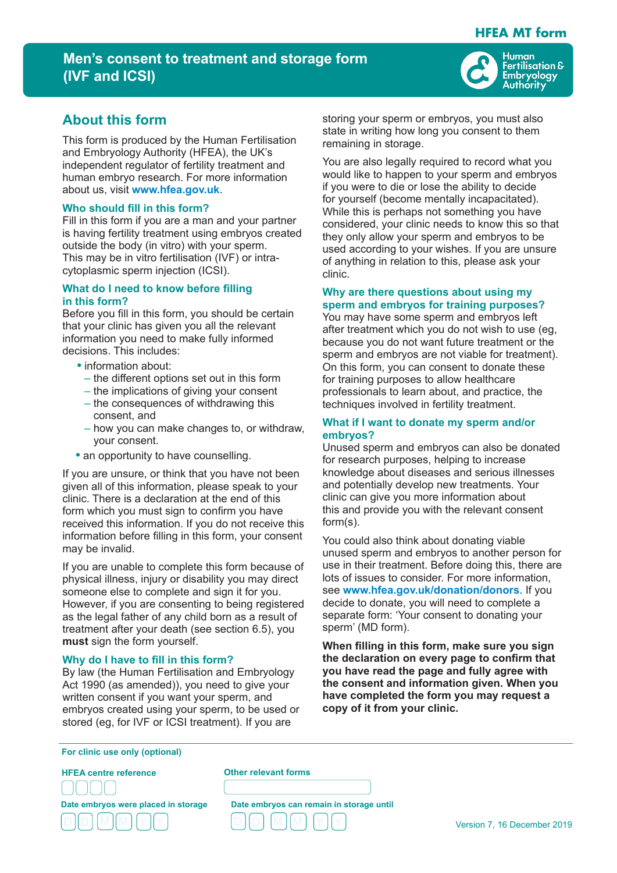# **HFEA MT form**

# **Men's consent to treatment and storage form (IVF and ICSI)**



# **About this form**

This form is produced by the Human Fertilisation and Embryology Authority (HFEA), the UK's independent regulator of fertility treatment and human embryo research. For more information about us, visit **www.hfea.gov.uk**.

#### **Who should fill in this form?**

Fill in this form if you are a man and your partner is having fertility treatment using embryos created outside the body (in vitro) with your sperm. This may be in vitro fertilisation (IVF) or intracytoplasmic sperm injection (ICSI).

## **What do I need to know before filling in this form?**

Before you fill in this form, you should be certain that your clinic has given you all the relevant information you need to make fully informed decisions. This includes:

- **•** information about:
	- the different options set out in this form
	- the implications of giving your consent
	- the consequences of withdrawing this consent, and
	- how you can make changes to, or withdraw, your consent.
- **•** an opportunity to have counselling.

If you are unsure, or think that you have not been given all of this information, please speak to your clinic. There is a declaration at the end of this form which you must sign to confirm you have received this information. If you do not receive this information before filling in this form, your consent may be invalid.

If you are unable to complete this form because of physical illness, injury or disability you may direct someone else to complete and sign it for you. However, if you are consenting to being registered as the legal father of any child born as a result of treatment after your death (see section 6.5), you **must** sign the form yourself.

## **Why do I have to fill in this form?**

By law (the Human Fertilisation and Embryology Act 1990 (as amended)), you need to give your written consent if you want your sperm, and embryos created using your sperm, to be used or stored (eg, for IVF or ICSI treatment). If you are

storing your sperm or embryos, you must also state in writing how long you consent to them remaining in storage.

You are also legally required to record what you would like to happen to your sperm and embryos if you were to die or lose the ability to decide for yourself (become mentally incapacitated). While this is perhaps not something you have considered, your clinic needs to know this so that they only allow your sperm and embryos to be used according to your wishes. If you are unsure of anything in relation to this, please ask your clinic.

### **Why are there questions about using my sperm and embryos for training purposes?**

You may have some sperm and embryos left after treatment which you do not wish to use (eg, because you do not want future treatment or the sperm and embryos are not viable for treatment). On this form, you can consent to donate these for training purposes to allow healthcare professionals to learn about, and practice, the techniques involved in fertility treatment.

## **What if I want to donate my sperm and/or embryos?**

Unused sperm and embryos can also be donated for research purposes, helping to increase knowledge about diseases and serious illnesses and potentially develop new treatments. Your clinic can give you more information about this and provide you with the relevant consent form(s).

You could also think about donating viable unused sperm and embryos to another person for use in their treatment. Before doing this, there are lots of issues to consider. For more information, see **www.hfea.gov.uk/donation/donors**. If you decide to donate, you will need to complete a separate form: 'Your consent to donating your sperm' (MD form).

**When filling in this form, make sure you sign the declaration on every page to confirm that you have read the page and fully agree with the consent and information given. When you have completed the form you may request a copy of it from your clinic.**

**For clinic use only (optional)**

**HFEA centre reference**

ŕ l



**Other relevant forms**

L

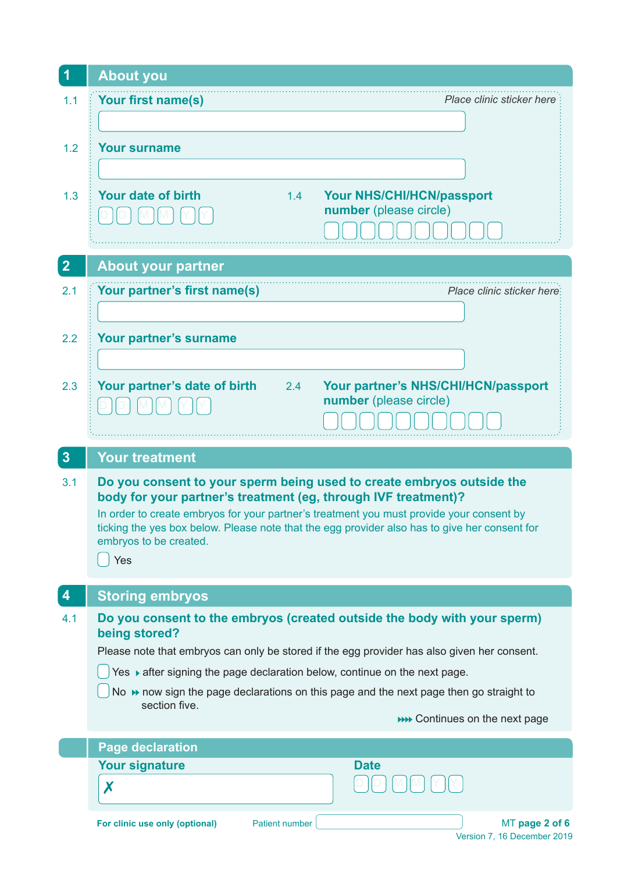| 1                                                                                             | <b>About you</b>                                                                                                                                           |  |
|-----------------------------------------------------------------------------------------------|------------------------------------------------------------------------------------------------------------------------------------------------------------|--|
| 1.1                                                                                           | Your first name(s)<br>Place clinic sticker here                                                                                                            |  |
|                                                                                               |                                                                                                                                                            |  |
| 1.2                                                                                           | <b>Your surname</b>                                                                                                                                        |  |
|                                                                                               |                                                                                                                                                            |  |
| 1.3                                                                                           | <b>Your date of birth</b><br><b>Your NHS/CHI/HCN/passport</b><br>1.4                                                                                       |  |
|                                                                                               | number (please circle)                                                                                                                                     |  |
|                                                                                               |                                                                                                                                                            |  |
| $\overline{2}$                                                                                | <b>About your partner</b>                                                                                                                                  |  |
| 2.1                                                                                           | Your partner's first name(s)<br>Place clinic sticker here:                                                                                                 |  |
|                                                                                               |                                                                                                                                                            |  |
| 2.2                                                                                           | Your partner's surname                                                                                                                                     |  |
|                                                                                               |                                                                                                                                                            |  |
| 2.3                                                                                           | Your partner's NHS/CHI/HCN/passport<br>Your partner's date of birth<br>2.4<br>number (please circle)                                                       |  |
|                                                                                               |                                                                                                                                                            |  |
|                                                                                               |                                                                                                                                                            |  |
| $3\phantom{a}$                                                                                | <b>Your treatment</b>                                                                                                                                      |  |
| 3.1                                                                                           | Do you consent to your sperm being used to create embryos outside the                                                                                      |  |
|                                                                                               | body for your partner's treatment (eg, through IVF treatment)?<br>In order to create embryos for your partner's treatment you must provide your consent by |  |
| ticking the yes box below. Please note that the egg provider also has to give her consent for |                                                                                                                                                            |  |
|                                                                                               |                                                                                                                                                            |  |
|                                                                                               | embryos to be created.<br>Yes                                                                                                                              |  |
|                                                                                               |                                                                                                                                                            |  |
| 4                                                                                             | <b>Storing embryos</b>                                                                                                                                     |  |
| 4.1                                                                                           | Do you consent to the embryos (created outside the body with your sperm)<br>being stored?                                                                  |  |
|                                                                                               | Please note that embryos can only be stored if the egg provider has also given her consent.                                                                |  |
|                                                                                               | Yes ▶ after signing the page declaration below, continue on the next page.                                                                                 |  |
|                                                                                               | No → now sign the page declarations on this page and the next page then go straight to<br>section five.                                                    |  |
|                                                                                               | <b>NO CONTINUES ON the next page</b>                                                                                                                       |  |
|                                                                                               | <b>Page declaration</b>                                                                                                                                    |  |
|                                                                                               | <b>Date</b><br><b>Your signature</b>                                                                                                                       |  |
|                                                                                               | X                                                                                                                                                          |  |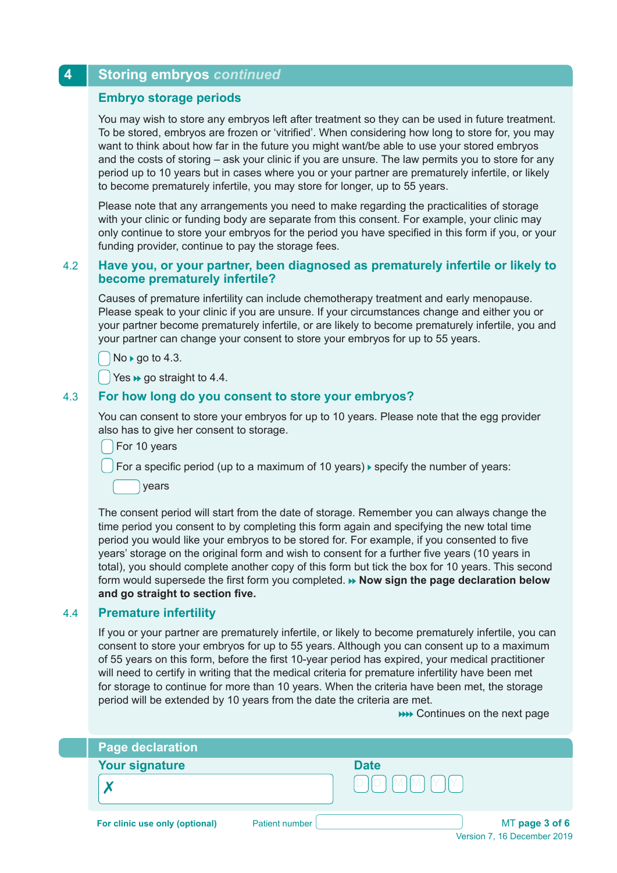# **4 Storing embryos** *continued*

# **Embryo storage periods**

You may wish to store any embryos left after treatment so they can be used in future treatment. To be stored, embryos are frozen or 'vitrified'. When considering how long to store for, you may want to think about how far in the future you might want/be able to use your stored embryos and the costs of storing – ask your clinic if you are unsure. The law permits you to store for any period up to 10 years but in cases where you or your partner are prematurely infertile, or likely to become prematurely infertile, you may store for longer, up to 55 years.

Please note that any arrangements you need to make regarding the practicalities of storage with your clinic or funding body are separate from this consent. For example, your clinic may only continue to store your embryos for the period you have specified in this form if you, or your funding provider, continue to pay the storage fees.

# 4.2 **Have you, or your partner, been diagnosed as prematurely infertile or likely to become prematurely infertile?**

Causes of premature infertility can include chemotherapy treatment and early menopause. Please speak to your clinic if you are unsure. If your circumstances change and either you or your partner become prematurely infertile, or are likely to become prematurely infertile, you and your partner can change your consent to store your embryos for up to 55 years.

 $No \triangleright go to 4.3.$ 

 $\Box$  Yes  $\rightarrow$  go straight to 4.4.

# 4.3 **For how long do you consent to store your embryos?**

You can consent to store your embryos for up to 10 years. Please note that the egg provider also has to give her consent to storage.

For 10 years

For a specific period (up to a maximum of 10 years)  $\blacktriangleright$  specify the number of years:

years

The consent period will start from the date of storage. Remember you can always change the time period you consent to by completing this form again and specifying the new total time period you would like your embryos to be stored for. For example, if you consented to five years' storage on the original form and wish to consent for a further five years (10 years in total), you should complete another copy of this form but tick the box for 10 years. This second form would supersede the first form you completed. **» Now sign the page declaration below and go straight to section five.**

# 4.4 **Premature infertility**

If you or your partner are prematurely infertile, or likely to become prematurely infertile, you can consent to store your embryos for up to 55 years. Although you can consent up to a maximum of 55 years on this form, before the first 10-year period has expired, your medical practitioner will need to certify in writing that the medical criteria for premature infertility have been met for storage to continue for more than 10 years. When the criteria have been met, the storage period will be extended by 10 years from the date the criteria are met.

Continues on the next page

| <b>Page declaration</b>        |                       |                                        |                |
|--------------------------------|-----------------------|----------------------------------------|----------------|
| <b>Your signature</b>          |                       | <b>Date</b>                            |                |
|                                |                       | D.<br>$\mathsf{M}\mathsf{M}\mathsf{N}$ |                |
| For clinic use only (optional) | <b>Patient number</b> |                                        | MT page 3 of 6 |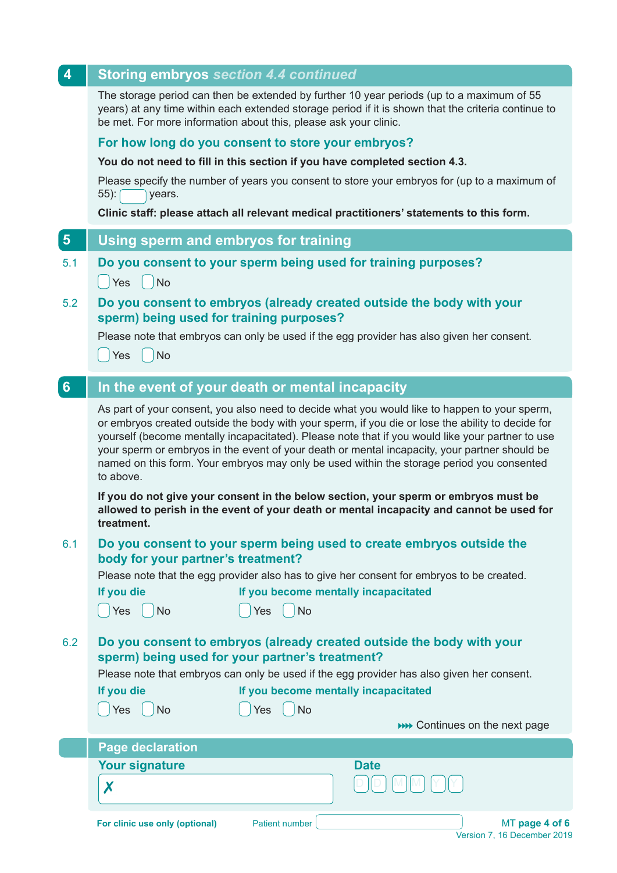| 4                                                                                                                  | <b>Storing embryos section 4.4 continued</b>                                                                                                                                                                                                                                                                                                                                                                                                                                                                      |  |  |
|--------------------------------------------------------------------------------------------------------------------|-------------------------------------------------------------------------------------------------------------------------------------------------------------------------------------------------------------------------------------------------------------------------------------------------------------------------------------------------------------------------------------------------------------------------------------------------------------------------------------------------------------------|--|--|
|                                                                                                                    | The storage period can then be extended by further 10 year periods (up to a maximum of 55<br>years) at any time within each extended storage period if it is shown that the criteria continue to<br>be met. For more information about this, please ask your clinic.                                                                                                                                                                                                                                              |  |  |
|                                                                                                                    | For how long do you consent to store your embryos?                                                                                                                                                                                                                                                                                                                                                                                                                                                                |  |  |
|                                                                                                                    | You do not need to fill in this section if you have completed section 4.3.                                                                                                                                                                                                                                                                                                                                                                                                                                        |  |  |
|                                                                                                                    | Please specify the number of years you consent to store your embryos for (up to a maximum of<br>$55$ ):<br>years.                                                                                                                                                                                                                                                                                                                                                                                                 |  |  |
|                                                                                                                    | Clinic staff: please attach all relevant medical practitioners' statements to this form.                                                                                                                                                                                                                                                                                                                                                                                                                          |  |  |
| $5\phantom{.}$                                                                                                     | Using sperm and embryos for training                                                                                                                                                                                                                                                                                                                                                                                                                                                                              |  |  |
| 5.1                                                                                                                | Do you consent to your sperm being used for training purposes?<br>$ $ Yes<br><b>No</b>                                                                                                                                                                                                                                                                                                                                                                                                                            |  |  |
| 5.2                                                                                                                | Do you consent to embryos (already created outside the body with your<br>sperm) being used for training purposes?                                                                                                                                                                                                                                                                                                                                                                                                 |  |  |
|                                                                                                                    | Please note that embryos can only be used if the egg provider has also given her consent.<br><b>No</b><br>Yes                                                                                                                                                                                                                                                                                                                                                                                                     |  |  |
| $6\phantom{a}$                                                                                                     | In the event of your death or mental incapacity                                                                                                                                                                                                                                                                                                                                                                                                                                                                   |  |  |
|                                                                                                                    | As part of your consent, you also need to decide what you would like to happen to your sperm,<br>or embryos created outside the body with your sperm, if you die or lose the ability to decide for<br>yourself (become mentally incapacitated). Please note that if you would like your partner to use<br>your sperm or embryos in the event of your death or mental incapacity, your partner should be<br>named on this form. Your embryos may only be used within the storage period you consented<br>to above. |  |  |
|                                                                                                                    | If you do not give your consent in the below section, your sperm or embryos must be<br>allowed to perish in the event of your death or mental incapacity and cannot be used for<br>treatment.                                                                                                                                                                                                                                                                                                                     |  |  |
| Do you consent to your sperm being used to create embryos outside the<br>6.1<br>body for your partner's treatment? |                                                                                                                                                                                                                                                                                                                                                                                                                                                                                                                   |  |  |
|                                                                                                                    | Please note that the egg provider also has to give her consent for embryos to be created.                                                                                                                                                                                                                                                                                                                                                                                                                         |  |  |
|                                                                                                                    | If you die<br>If you become mentally incapacitated<br>Yes<br><b>No</b><br><b>No</b><br>Yes                                                                                                                                                                                                                                                                                                                                                                                                                        |  |  |
| 6.2                                                                                                                | Do you consent to embryos (already created outside the body with your<br>sperm) being used for your partner's treatment?                                                                                                                                                                                                                                                                                                                                                                                          |  |  |
|                                                                                                                    | Please note that embryos can only be used if the egg provider has also given her consent.<br>If you die<br>If you become mentally incapacitated                                                                                                                                                                                                                                                                                                                                                                   |  |  |
|                                                                                                                    |                                                                                                                                                                                                                                                                                                                                                                                                                                                                                                                   |  |  |
|                                                                                                                    | <b>No</b><br>Yes<br><b>No</b><br>Yes<br><b>NOTE:</b> Continues on the next page                                                                                                                                                                                                                                                                                                                                                                                                                                   |  |  |
|                                                                                                                    | <b>Page declaration</b>                                                                                                                                                                                                                                                                                                                                                                                                                                                                                           |  |  |
|                                                                                                                    | <b>Your signature</b><br><b>Date</b>                                                                                                                                                                                                                                                                                                                                                                                                                                                                              |  |  |
|                                                                                                                    | X                                                                                                                                                                                                                                                                                                                                                                                                                                                                                                                 |  |  |
|                                                                                                                    |                                                                                                                                                                                                                                                                                                                                                                                                                                                                                                                   |  |  |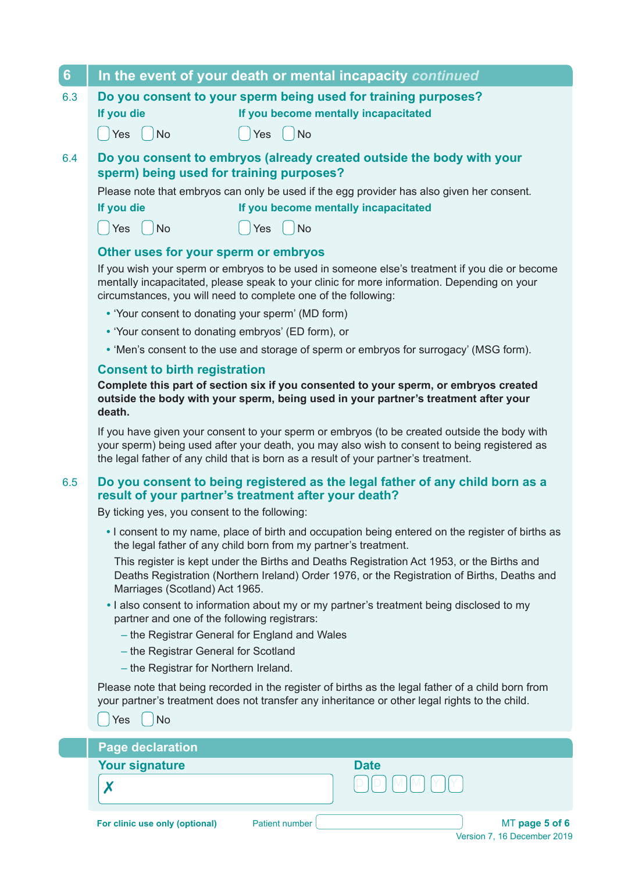| 6   | In the event of your death or mental incapacity continued                                                                                                                                                                                                                                                                                                                                                                                                                                                                                                                                                                                                                                                                                                                                                                                                                                                                                                                                                                                                                                                                                                                                                                                                                                                                                           |  |  |
|-----|-----------------------------------------------------------------------------------------------------------------------------------------------------------------------------------------------------------------------------------------------------------------------------------------------------------------------------------------------------------------------------------------------------------------------------------------------------------------------------------------------------------------------------------------------------------------------------------------------------------------------------------------------------------------------------------------------------------------------------------------------------------------------------------------------------------------------------------------------------------------------------------------------------------------------------------------------------------------------------------------------------------------------------------------------------------------------------------------------------------------------------------------------------------------------------------------------------------------------------------------------------------------------------------------------------------------------------------------------------|--|--|
| 6.3 | Do you consent to your sperm being used for training purposes?<br>If you become mentally incapacitated<br>If you die<br>Yes<br><b>No</b><br><b>No</b><br>Yes                                                                                                                                                                                                                                                                                                                                                                                                                                                                                                                                                                                                                                                                                                                                                                                                                                                                                                                                                                                                                                                                                                                                                                                        |  |  |
| 6.4 | Do you consent to embryos (already created outside the body with your<br>sperm) being used for training purposes?<br>Please note that embryos can only be used if the egg provider has also given her consent.<br>If you die<br>If you become mentally incapacitated<br>Yes<br><b>No</b><br><b>No</b><br>Yes<br>Other uses for your sperm or embryos<br>If you wish your sperm or embryos to be used in someone else's treatment if you die or become<br>mentally incapacitated, please speak to your clinic for more information. Depending on your<br>circumstances, you will need to complete one of the following:<br>• 'Your consent to donating your sperm' (MD form)<br>• 'Your consent to donating embryos' (ED form), or<br>• 'Men's consent to the use and storage of sperm or embryos for surrogacy' (MSG form).<br><b>Consent to birth registration</b><br>Complete this part of section six if you consented to your sperm, or embryos created<br>outside the body with your sperm, being used in your partner's treatment after your<br>death.<br>If you have given your consent to your sperm or embryos (to be created outside the body with<br>your sperm) being used after your death, you may also wish to consent to being registered as<br>the legal father of any child that is born as a result of your partner's treatment. |  |  |
| 6.5 | Do you consent to being registered as the legal father of any child born as a<br>result of your partner's treatment after your death?<br>By ticking yes, you consent to the following:<br>. I consent to my name, place of birth and occupation being entered on the register of births as<br>the legal father of any child born from my partner's treatment.<br>This register is kept under the Births and Deaths Registration Act 1953, or the Births and<br>Deaths Registration (Northern Ireland) Order 1976, or the Registration of Births, Deaths and<br>Marriages (Scotland) Act 1965.<br>• I also consent to information about my or my partner's treatment being disclosed to my<br>partner and one of the following registrars:<br>- the Registrar General for England and Wales<br>- the Registrar General for Scotland<br>- the Registrar for Northern Ireland.<br>Please note that being recorded in the register of births as the legal father of a child born from<br>your partner's treatment does not transfer any inheritance or other legal rights to the child.<br><b>No</b><br>Yes                                                                                                                                                                                                                                             |  |  |
|     | <b>Page declaration</b>                                                                                                                                                                                                                                                                                                                                                                                                                                                                                                                                                                                                                                                                                                                                                                                                                                                                                                                                                                                                                                                                                                                                                                                                                                                                                                                             |  |  |
|     | <b>Your signature</b><br><b>Date</b><br>Х                                                                                                                                                                                                                                                                                                                                                                                                                                                                                                                                                                                                                                                                                                                                                                                                                                                                                                                                                                                                                                                                                                                                                                                                                                                                                                           |  |  |

and the second